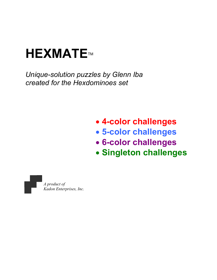# **HEXMATETM**

Unique-solution puzzles by Glenn Iba created for the Hexdominoes set

## • 4-color challenges

- 5-color challenges
- 6-color challenges
- Singleton challenges

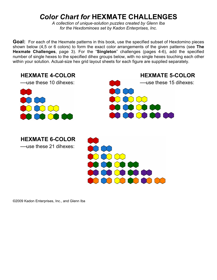#### Color Chart for HEXMATE CHALLENGES

A collection of unique-solution puzzles created by Glenn Iba for the Hexdominoes set by Kadon Enterprises, Inc.

Goal: For each of the Hexmate patterns in this book, use the specified subset of Hexdomino pieces shown below (4,5 or 6 colors) to form the exact color arrangements of the given patterns (see The Hexmate Challenges, page 3). For the "Singleton" challenges (pages 4-6), add the specified number of single hexes to the specified dihex groups below, with no single hexes touching each other within your solution. Actual-size hex grid layout sheets for each figure are supplied separately.



©2009 Kadon Enterprises, Inc., and Glenn Iba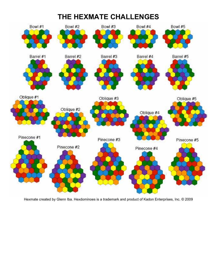## THE HEXMATE CHALLENGES

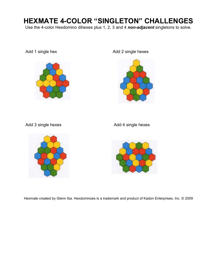#### HEXMATE 4-COLOR "SINGLETON" CHALLENGES

Use the 4-color Hexdomino dihexes plus 1, 2, 3 and 4 non-adjacent singletons to solve.



Add 1 single hex Add 2 single hexes



Add 3 single hexes Add 4 single hexes



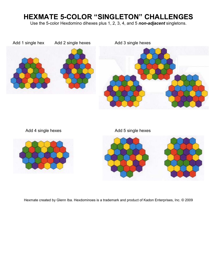#### HEXMATE 5-COLOR "SINGLETON" CHALLENGES

Use the 5-color Hexdomino dihexes plus 1, 2, 3, 4, and 5 non-adjacent singletons.



Add 4 single hexes Add 5 single hexes